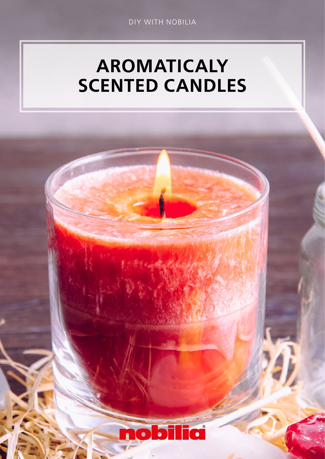# AROMATICALY SCENTED CANDLES